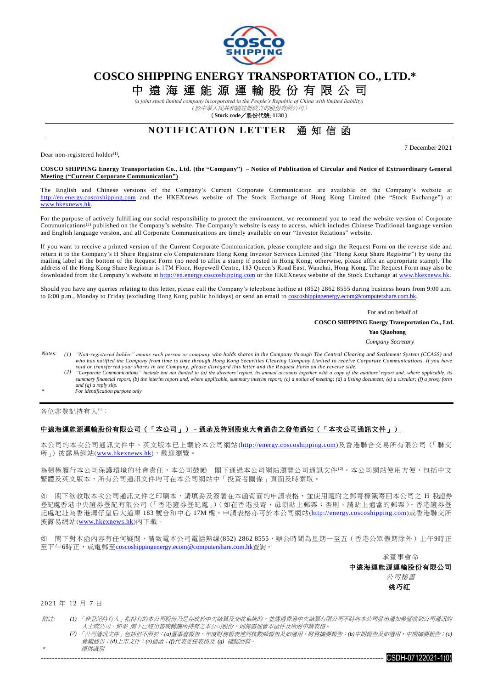

### **COSCO SHIPPING ENERGY TRANSPORTATION CO., LTD.\***

# 中 遠 海 運 能 源 運 輸 股 份 有 限 公 司

*(a joint stock limited company incorporated in the People's Republic of China with limited liability)* (於中華人民共和國註冊成立的股份有限公司)

(**Stock code**/股份代號: **1138**)

### **NOTIFICATION LETTER 通知信函**

Dear non-registered holder $^{(1)}$ ,

7 December 2021

#### **COSCO SHIPPING Energy Transportation Co., Ltd. (the "Company") – Notice of Publication of Circular and Notice of Extraordinary General Meeting ("Current Corporate Communication")**

The English and Chinese versions of the Company's Current Corporate Communication are available on the Company's website at [http://en.energy.coscoshipping.com](http://en.energy.coscoshipping.com/) and the HKEXnews website of The Stock Exchange of Hong Kong Limited (the "Stock Exchange") at www.hkexnews.hk.

For the purpose of actively fulfilling our social responsibility to protect the environment, we recommend you to read the website version of Corporate Communications<sup>(2)</sup> published on the Company's website. The Company's website is easy to access, which includes Chinese Traditional language version and English language version, and all Corporate Communications are timely available on our "Investor Relations" website.

If you want to receive a printed version of the Current Corporate Communication, please complete and sign the Request Form on the reverse side and return it to the Company's H Share Registrar c/o Computershare Hong Kong Investor Services Limited (the "Hong Kong Share Registrar") by using the mailing label at the bottom of the Request Form (no need to affix a stamp if posted in Hong Kong; otherwise, please affix an appropriate stamp). The address of the Hong Kong Share Registrar is 17M Floor, Hopewell Centre, 183 Queen's Road East, Wanchai, Hong Kong. The Request Form may also be downloaded from the Company's website at [http://en.energy.coscoshipping.com](http://en.energy.coscoshipping.com/) or the HKEXnews website of the Stock Exchange at [www.hkexnews.hk.](http://www.hkexnews.hk/)

Should you have any queries relating to this letter, please call the Company's telephone hotline at (852) 2862 8555 during business hours from 9:00 a.m. to 6:00 p.m., Monday to Friday (excluding Hong Kong public holidays) or send an email to coscoshippingenergy.ecom@computershare.com.hk

> For and on behalf of  **COSCO SHIPPING Energy Transportation Co., Ltd.**

**Yao Qiaohong**

- *Company Secretary*
- *Notes: (1) "Non-registered holder" means such person or company who holds shares in the Company through The Central Clearing and Settlement System (CCASS) and who has notified the Company from time to time through Hong Kong Securities Clearing Company Limited to receive Corporate Communications. If you have sold or transferred your shares in the Company, please disregard this letter and the Request Form on the reverse side.*
	- (2) "Corporate Communications" include but not limited to (a) the directors' report, its annual accounts together with a copy of the auditors' report and, where applicable, its summary financial report, (b) the interim re *and (g) a reply slip.*
- *\* For identification purpose only*

各位非登記持有人(1):

#### 中遠海運能源運輸股份有限公司(「本公司」)–通函及特別股東大會通告之發佈通知(「本次公司通訊文件」)

本公司的本次公司通訊文件中、英文版本已上載於本公司網站([http://energy.coscoshipping.com](http://energy.coscoshipping.com/))及香港聯合交易所有限公司(「聯交 所」)披露易網站([www.hkexnews.hk](http://www.hkexnews.hk/index_c.htm)),歡迎瀏覽。

為積極履行本公司保護環境的社會責任,本公司鼓勵 閣下通過本公司網站瀏覽公司通訊文件(2)。本公司網站使用方便,包括中文 繁體及英文版本,所有公司通訊文件均可在本公司網站中「投資者關係」頁面及時索取。

如 閣下欲收取本次公司通訊文件之印刷本,請填妥及簽署在本函背面的申請表格,並使用隨附之郵寄標籤寄回本公司之 H 股證券 .<br>登記處香港中央證券登記有限公司(「香港證券登記處」)(如在香港投寄,毋須貼上郵票;否則,請貼上適當的郵票)。香港證券登 記處地址為香港灣仔皇后大道東 183 號合和中心 17M 樓。申請表格亦可於本公司網站([http://energy.coscoshipping.com](http://energy.coscoshipping.com/))或香港聯交所 披露易網站([www.hkexnews.hk](http://www.hkexnews.hk/index_c.htm))內下載。

如 閣下對本函內容有任何疑問,請致電本公司電話熱線(852) 2862 8555,辦公時間為星期一至五(香港公眾假期除外)上午9時正 至下午6時正,或電郵至[coscoshippingenergy.ecom@computershare.com.hk](mailto:coscoshippingenergy.ecom@computershare.com.hk)查詢。

承董事會命

中遠海運能源運輸股份有限公司 公司秘書

姚巧紅

2021 年 12 月 7 日

\*

- 附註: *(1)* 「非登記持有人」指持有的本公司股份乃是存放於中央結算及交收系統的,並透過香港中央結算有限公司不時向本公司發出通知希望收到公司通訊的 人士或公司。如果 閣下已經出售或轉讓所持有之本公司股份,則無需理會本函件及所附申請表格。
	- *(2)* 「公司通訊文件」包括但不限於:*(a)*董事會報告、年度財務報表連同核數師報告及如適用,財務摘要報告;*(b)*中期報告及如適用,中期摘要報告;*(c)* 會議通告;*(d)*上市文件;*(e)*通函;*(f)*代表委任表格及 *(g)* 確認回條。 僅供識別
		- ------------------------------------------------------------------------------------------------------------------------ CSDH-07122021-1(0)